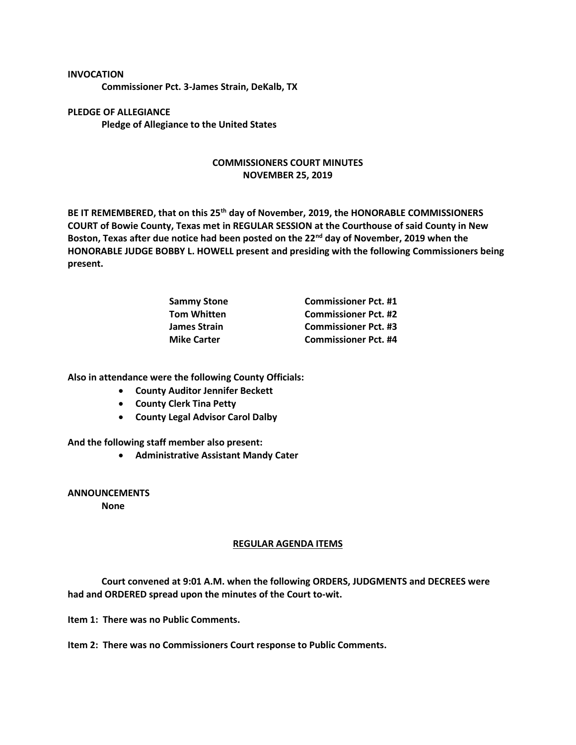## **INVOCATION**

**Commissioner Pct. 3-James Strain, DeKalb, TX**

**PLEDGE OF ALLEGIANCE Pledge of Allegiance to the United States**

## **COMMISSIONERS COURT MINUTES NOVEMBER 25, 2019**

**BE IT REMEMBERED, that on this 25th day of November, 2019, the HONORABLE COMMISSIONERS COURT of Bowie County, Texas met in REGULAR SESSION at the Courthouse of said County in New Boston, Texas after due notice had been posted on the 22nd day of November, 2019 when the HONORABLE JUDGE BOBBY L. HOWELL present and presiding with the following Commissioners being present.**

| <b>Commissioner Pct. #1</b> |
|-----------------------------|
| <b>Commissioner Pct. #2</b> |
| <b>Commissioner Pct. #3</b> |
| <b>Commissioner Pct. #4</b> |
|                             |

**Also in attendance were the following County Officials:**

- **County Auditor Jennifer Beckett**
- **County Clerk Tina Petty**
- **County Legal Advisor Carol Dalby**

**And the following staff member also present:**

• **Administrative Assistant Mandy Cater**

**ANNOUNCEMENTS**

**None**

## **REGULAR AGENDA ITEMS**

**Court convened at 9:01 A.M. when the following ORDERS, JUDGMENTS and DECREES were had and ORDERED spread upon the minutes of the Court to-wit.**

**Item 1: There was no Public Comments.**

**Item 2: There was no Commissioners Court response to Public Comments.**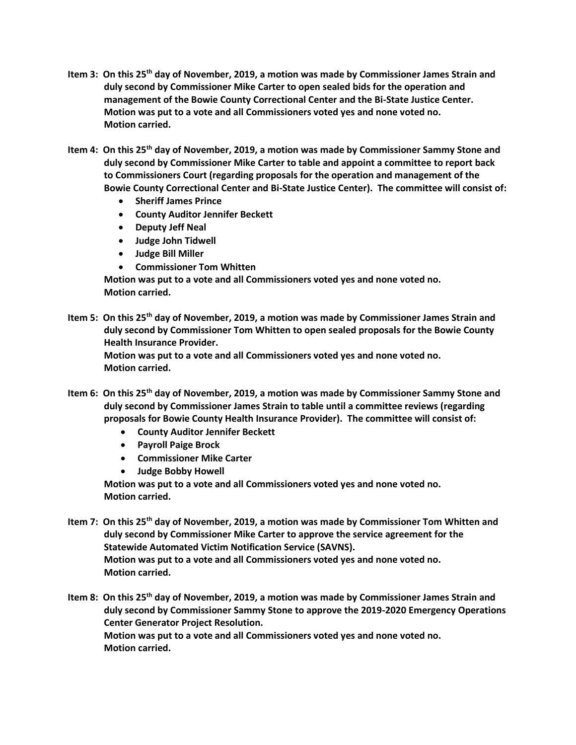- **Item 3: On this 25th day of November, 2019, a motion was made by Commissioner James Strain and duly second by Commissioner Mike Carter to open sealed bids for the operation and management of the Bowie County Correctional Center and the Bi-State Justice Center. Motion was put to a vote and all Commissioners voted yes and none voted no. Motion carried.**
- **Item 4: On this 25th day of November, 2019, a motion was made by Commissioner Sammy Stone and duly second by Commissioner Mike Carter to table and appoint a committee to report back to Commissioners Court (regarding proposals for the operation and management of the Bowie County Correctional Center and Bi-State Justice Center). The committee will consist of:**
	- **Sheriff James Prince**
	- **County Auditor Jennifer Beckett**
	- **Deputy Jeff Neal**
	- **Judge John Tidwell**
	- **Judge Bill Miller**
	- **Commissioner Tom Whitten**

**Motion was put to a vote and all Commissioners voted yes and none voted no. Motion carried.**

**Item 5: On this 25th day of November, 2019, a motion was made by Commissioner James Strain and duly second by Commissioner Tom Whitten to open sealed proposals for the Bowie County Health Insurance Provider.**

**Motion was put to a vote and all Commissioners voted yes and none voted no. Motion carried.**

- **Item 6: On this 25th day of November, 2019, a motion was made by Commissioner Sammy Stone and duly second by Commissioner James Strain to table until a committee reviews (regarding proposals for Bowie County Health Insurance Provider). The committee will consist of:**
	- **County Auditor Jennifer Beckett**
	- **Payroll Paige Brock**
	- **Commissioner Mike Carter**
	- **Judge Bobby Howell**

**Motion was put to a vote and all Commissioners voted yes and none voted no. Motion carried.**

**Item 7: On this 25th day of November, 2019, a motion was made by Commissioner Tom Whitten and duly second by Commissioner Mike Carter to approve the service agreement for the Statewide Automated Victim Notification Service (SAVNS). Motion was put to a vote and all Commissioners voted yes and none voted no. Motion carried.**

**Item 8: On this 25th day of November, 2019, a motion was made by Commissioner James Strain and duly second by Commissioner Sammy Stone to approve the 2019-2020 Emergency Operations Center Generator Project Resolution. Motion was put to a vote and all Commissioners voted yes and none voted no. Motion carried.**